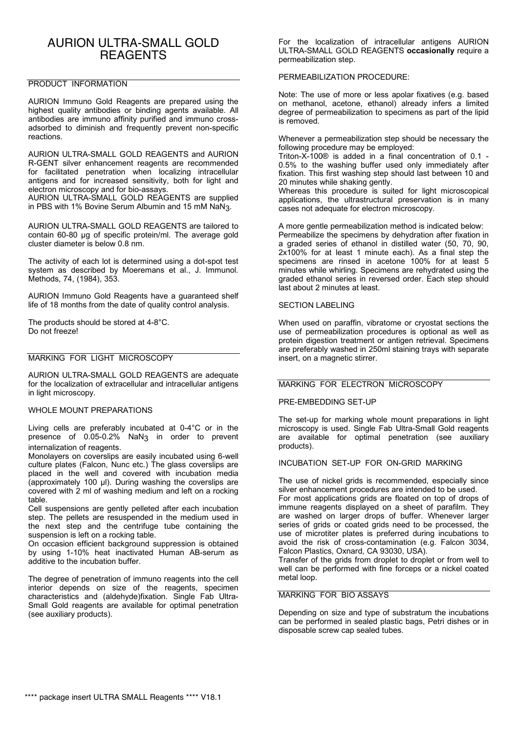# AURION ULTRA-SMALL GOLD **REAGENTS**

## PRODUCT INFORMATION

AURION Immuno Gold Reagents are prepared using the highest quality antibodies or binding agents available. All antibodies are immuno affinity purified and immuno crossadsorbed to diminish and frequently prevent non-specific reactions.

AURION ULTRA-SMALL GOLD REAGENTS and AURION R-GENT silver enhancement reagents are recommended for facilitated penetration when localizing intracellular antigens and for increased sensitivity, both for light and electron microscopy and for bio-assays.

AURION ULTRA-SMALL GOLD REAGENTS are supplied in PBS with 1% Bovine Serum Albumin and 15 mM NaN3.

AURION ULTRA-SMALL GOLD REAGENTS are tailored to contain 60-80 µg of specific protein/ml. The average gold cluster diameter is below 0.8 nm.

The activity of each lot is determined using a dot-spot test system as described by Moeremans et al., J. Immunol. Methods, 74, (1984), 353.

AURION Immuno Gold Reagents have a guaranteed shelf life of 18 months from the date of quality control analysis.

The products should be stored at 4-8°C. Do not freeze!

## MARKING FOR LIGHT MICROSCOPY

AURION ULTRA-SMALL GOLD REAGENTS are adequate for the localization of extracellular and intracellular antigens in light microscopy.

#### WHOLE MOUNT PREPARATIONS

Living cells are preferably incubated at 0-4°C or in the presence of 0.05-0.2% NaN<sub>3</sub> in order to prevent internalization of reagents.

Monolayers on coverslips are easily incubated using 6-well culture plates (Falcon, Nunc etc.) The glass coverslips are placed in the well and covered with incubation media (approximately 100 µl). During washing the coverslips are covered with 2 ml of washing medium and left on a rocking table.

Cell suspensions are gently pelleted after each incubation step. The pellets are resuspended in the medium used in the next step and the centrifuge tube containing the suspension is left on a rocking table.

On occasion efficient background suppression is obtained by using 1-10% heat inactivated Human AB-serum as additive to the incubation buffer.

The degree of penetration of immuno reagents into the cell interior depends on size of the reagents, specimen characteristics and (aldehyde)fixation. Single Fab Ultra-Small Gold reagents are available for optimal penetration (see auxiliary products).

For the localization of intracellular antigens AURION ULTRA-SMALL GOLD REAGENTS **occasionally** require a permeabilization step.

## PERMEABILIZATION PROCEDURE:

Note: The use of more or less apolar fixatives (e.g. based on methanol, acetone, ethanol) already infers a limited degree of permeabilization to specimens as part of the lipid is removed.

Whenever a permeabilization step should be necessary the following procedure may be employed:

Triton-X-100® is added in a final concentration of 0.1 - 0.5% to the washing buffer used only immediately after fixation. This first washing step should last between 10 and 20 minutes while shaking gently.

Whereas this procedure is suited for light microscopical applications, the ultrastructural preservation is in many cases not adequate for electron microscopy.

A more gentle permeabilization method is indicated below: Permeabilize the specimens by dehydration after fixation in a graded series of ethanol in distilled water (50, 70, 90, 2x100% for at least 1 minute each). As a final step the specimens are rinsed in acetone 100% for at least 5 minutes while whirling. Specimens are rehydrated using the graded ethanol series in reversed order. Each step should last about 2 minutes at least.

#### SECTION LABELING

When used on paraffin, vibratome or cryostat sections the use of permeabilization procedures is optional as well as protein digestion treatment or antigen retrieval. Specimens are preferably washed in 250ml staining trays with separate insert, on a magnetic stirrer.

## MARKING FOR ELECTRON MICROSCOPY

#### PRE-EMBEDDING SET-UP

The set-up for marking whole mount preparations in light microscopy is used. Single Fab Ultra-Small Gold reagents are available for optimal penetration (see auxiliary products).

## INCUBATION SET-UP FOR ON-GRID MARKING

The use of nickel grids is recommended, especially since silver enhancement procedures are intended to be used.

For most applications grids are floated on top of drops of immune reagents displayed on a sheet of parafilm. They are washed on larger drops of buffer. Whenever larger series of grids or coated grids need to be processed, the use of microtiter plates is preferred during incubations to avoid the risk of cross-contamination (e.g. Falcon 3034, Falcon Plastics, Oxnard, CA 93030, USA).

Transfer of the grids from droplet to droplet or from well to well can be performed with fine forceps or a nickel coated metal loop.

# MARKING FOR BIO ASSAYS

Depending on size and type of substratum the incubations can be performed in sealed plastic bags, Petri dishes or in disposable screw cap sealed tubes.